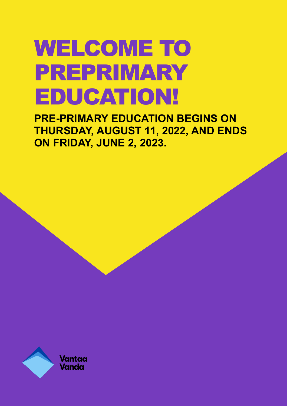# WELCOME TO PREPRIMARY EDUCATION!

**PRE-PRIMARY EDUCATION BEGINS ON THURSDAY, AUGUST 11, 2022, AND ENDS ON FRIDAY, JUNE 2, 2023.**

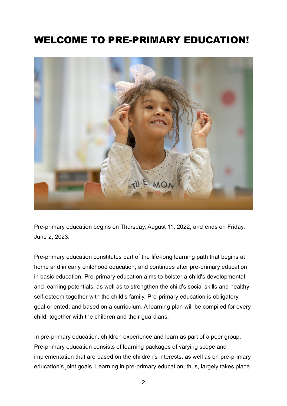# WELCOME TO PRE-PRIMARY EDUCATION!



Pre-primary education begins on Thursday, August 11, 2022, and ends on Friday, June 2, 2023.

Pre-primary education constitutes part of the life-long learning path that begins at home and in early childhood education, and continues after pre-primary education in basic education. Pre-primary education aims to bolster a child's developmental and learning potentials, as well as to strengthen the child's social skills and healthy self-esteem together with the child's family. Pre-primary education is obligatory, goal-oriented, and based on a curriculum. A learning plan will be compiled for every child, together with the children and their guardians.

In pre-primary education, children experience and learn as part of a peer group. Pre-primary education consists of learning packages of varying scope and implementation that are based on the children's interests, as well as on pre-primary education's joint goals. Learning in pre-primary education, thus, largely takes place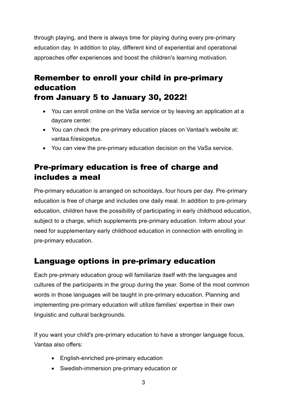through playing, and there is always time for playing during every pre-primary education day. In addition to play, different kind of experiential and operational approaches offer experiences and boost the children's learning motivation.

#### Remember to enroll your child in pre-primary education from January 5 to January 30, 2022!

- You can enroll online on the VaSa service or by leaving an application at a daycare center.
- You can check the pre-primary education places on Vantaa's website at: vantaa.fi/esiopetus.
- You can view the pre-primary education decision on the VaSa service.

# Pre-primary education is free of charge and includes a meal

Pre-primary education is arranged on schooldays, four hours per day. Pre-primary education is free of charge and includes one daily meal. In addition to pre-primary education, children have the possibility of participating in early childhood education, subject to a charge, which supplements pre-primary education. Inform about your need for supplementary early childhood education in connection with enrolling in pre-primary education.

## Language options in pre-primary education

Each pre-primary education group will familiarize itself with the languages and cultures of the participants in the group during the year. Some of the most common words in those languages will be taught in pre-primary education. Planning and implementing pre-primary education will utilize families' expertise in their own linguistic and cultural backgrounds.

If you want your child's pre-primary education to have a stronger language focus, Vantaa also offers:

- English-enriched pre-primary education
- Swedish-immersion pre-primary education or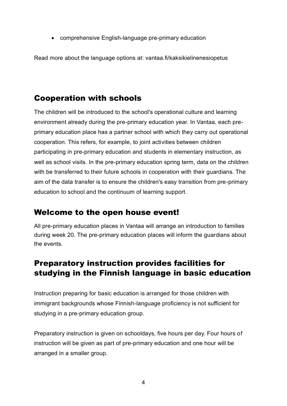• comprehensive English-language pre-primary education

Read more about the language options at: vantaa.fi/kaksikielinenesiopetus

## Cooperation with schools

The children will be introduced to the school's operational culture and learning environment already during the pre-primary education year. In Vantaa, each preprimary education place has a partner school with which they carry out operational cooperation. This refers, for example, to joint activities between children participating in pre-primary education and students in elementary instruction, as well as school visits. In the pre-primary education spring term, data on the children with be transferred to their future schools in cooperation with their guardians. The aim of the data transfer is to ensure the children's easy transition from pre-primary education to school and the continuum of learning support.

#### Welcome to the open house event!

All pre-primary education places in Vantaa will arrange an introduction to families during week 20. The pre-primary education places will inform the guardians about the events.

#### Preparatory instruction provides facilities for studying in the Finnish language in basic education

Instruction preparing for basic education is arranged for those children with immigrant backgrounds whose Finnish-language proficiency is not sufficient for studying in a pre-primary education group.

Preparatory instruction is given on schooldays, five hours per day. Four hours of instruction will be given as part of pre-primary education and one hour will be arranged in a smaller group.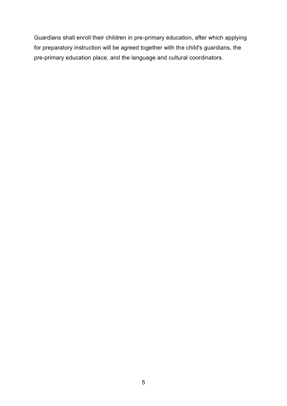Guardians shall enroll their children in pre-primary education, after which applying for preparatory instruction will be agreed together with the child's guardians, the pre-primary education place, and the language and cultural coordinators.